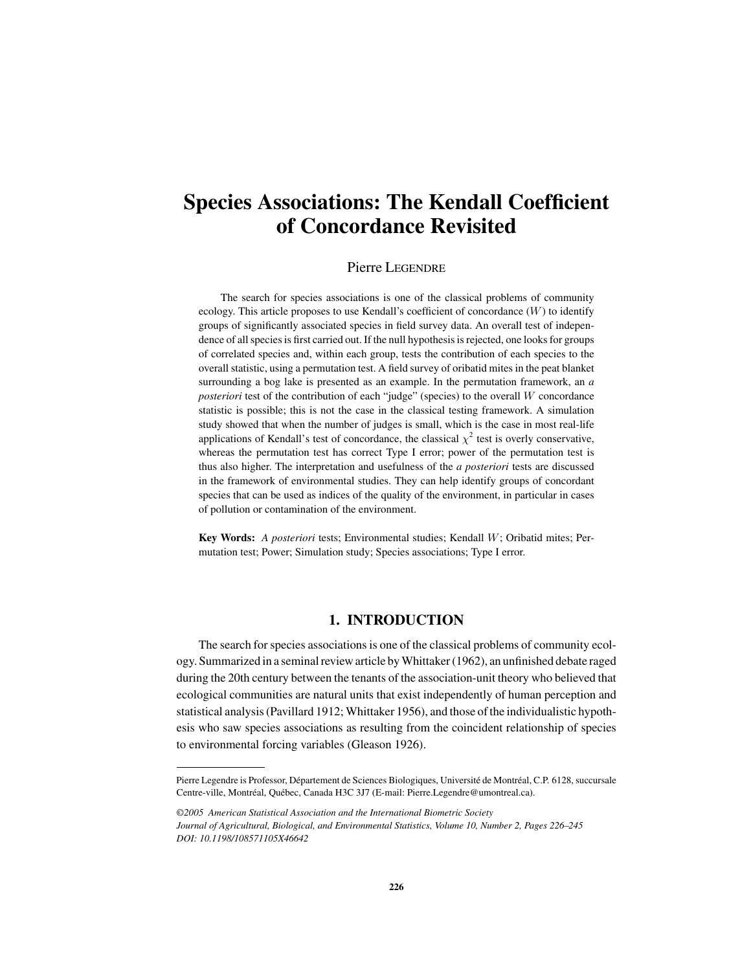# **Species Associations: The Kendall Coefficient of Concordance Revisited**

## Pierre LEGENDRE

The search for species associations is one of the classical problems of community ecology. This article proposes to use Kendall's coefficient of concordance  $(W)$  to identify groups of significantly associated species in field survey data. An overall test of independence of all species is first carried out. If the null hypothesis is rejected, one looks for groups of correlated species and, within each group, tests the contribution of each species to the overall statistic, using a permutation test. A field survey of oribatid mites in the peat blanket surrounding a bog lake is presented as an example. In the permutation framework, an *a posteriori* test of the contribution of each "judge" (species) to the overall W concordance statistic is possible; this is not the case in the classical testing framework. A simulation study showed that when the number of judges is small, which is the case in most real-life applications of Kendall's test of concordance, the classical  $\chi^2$  test is overly conservative, whereas the permutation test has correct Type I error; power of the permutation test is thus also higher. The interpretation and usefulness of the *a posteriori* tests are discussed in the framework of environmental studies. They can help identify groups of concordant species that can be used as indices of the quality of the environment, in particular in cases of pollution or contamination of the environment.

**Key Words:** *A posteriori* tests; Environmental studies; Kendall W; Oribatid mites; Permutation test; Power; Simulation study; Species associations; Type I error.

# **1. INTRODUCTION**

The search for species associations is one of the classical problems of community ecology. Summarized in a seminal review article by Whittaker (1962), an unfinished debate raged during the 20th century between the tenants of the association-unit theory who believed that ecological communities are natural units that exist independently of human perception and statistical analysis (Pavillard 1912; Whittaker 1956), and those of the individualistic hypothesis who saw species associations as resulting from the coincident relationship of species to environmental forcing variables (Gleason 1926).

Pierre Legendre is Professor, Département de Sciences Biologiques, Université de Montréal, C.P. 6128, succursale Centre-ville, Montréal, Québec, Canada H3C 3J7 (E-mail: Pierre.Legendre@umontreal.ca).

*<sup>©2005</sup> American Statistical Association and the International Biometric Society Journal of Agricultural, Biological, and Environmental Statistics, Volume 10, Number 2, Pages 226–245 DOI: 10.1198/108571105X46642*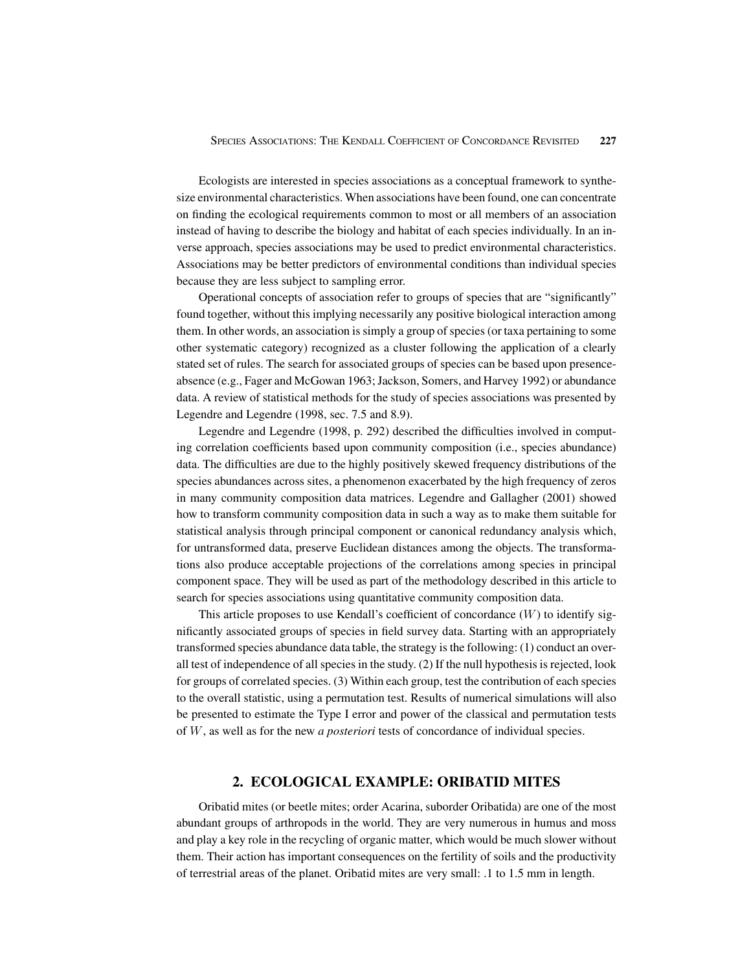Ecologists are interested in species associations as a conceptual framework to synthesize environmental characteristics. When associations have been found, one can concentrate on finding the ecological requirements common to most or all members of an association instead of having to describe the biology and habitat of each species individually. In an inverse approach, species associations may be used to predict environmental characteristics. Associations may be better predictors of environmental conditions than individual species because they are less subject to sampling error.

Operational concepts of association refer to groups of species that are "significantly" found together, without this implying necessarily any positive biological interaction among them. In other words, an association is simply a group of species (or taxa pertaining to some other systematic category) recognized as a cluster following the application of a clearly stated set of rules. The search for associated groups of species can be based upon presenceabsence (e.g., Fager and McGowan 1963; Jackson, Somers, and Harvey 1992) or abundance data. A review of statistical methods for the study of species associations was presented by Legendre and Legendre (1998, sec. 7.5 and 8.9).

Legendre and Legendre (1998, p. 292) described the difficulties involved in computing correlation coefficients based upon community composition (i.e., species abundance) data. The difficulties are due to the highly positively skewed frequency distributions of the species abundances across sites, a phenomenon exacerbated by the high frequency of zeros in many community composition data matrices. Legendre and Gallagher (2001) showed how to transform community composition data in such a way as to make them suitable for statistical analysis through principal component or canonical redundancy analysis which, for untransformed data, preserve Euclidean distances among the objects. The transformations also produce acceptable projections of the correlations among species in principal component space. They will be used as part of the methodology described in this article to search for species associations using quantitative community composition data.

This article proposes to use Kendall's coefficient of concordance  $(W)$  to identify significantly associated groups of species in field survey data. Starting with an appropriately transformed species abundance data table, the strategy is the following: (1) conduct an overall test of independence of all species in the study. (2) If the null hypothesis is rejected, look for groups of correlated species. (3) Within each group, test the contribution of each species to the overall statistic, using a permutation test. Results of numerical simulations will also be presented to estimate the Type I error and power of the classical and permutation tests of W, as well as for the new *a posteriori* tests of concordance of individual species.

# **2. ECOLOGICAL EXAMPLE: ORIBATID MITES**

Oribatid mites (or beetle mites; order Acarina, suborder Oribatida) are one of the most abundant groups of arthropods in the world. They are very numerous in humus and moss and play a key role in the recycling of organic matter, which would be much slower without them. Their action has important consequences on the fertility of soils and the productivity of terrestrial areas of the planet. Oribatid mites are very small: .1 to 1.5 mm in length.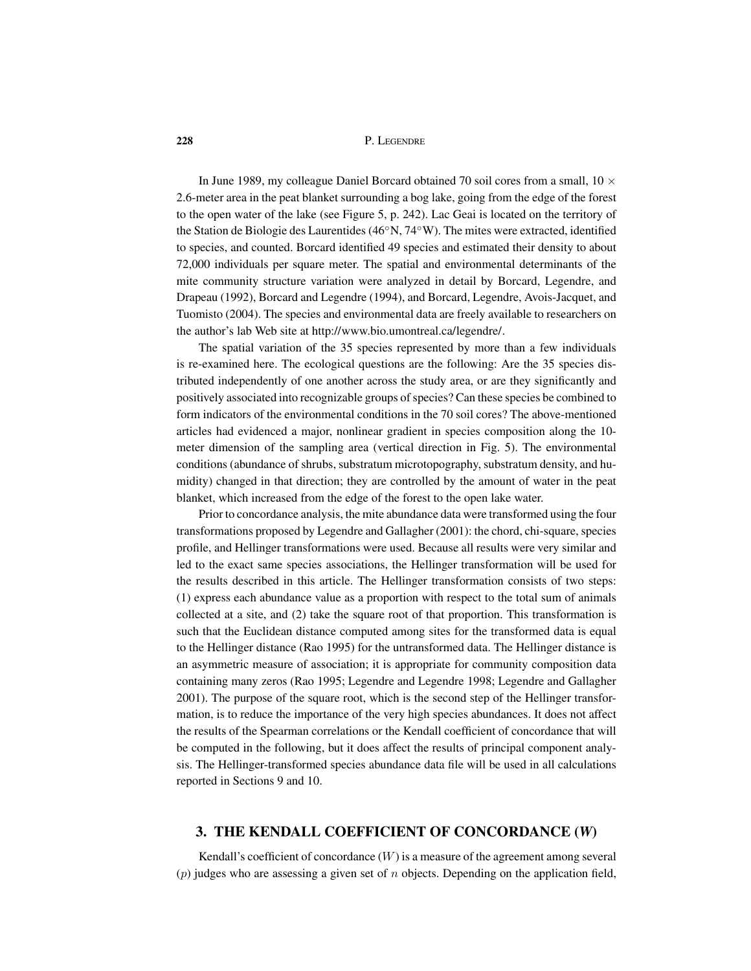In June 1989, my colleague Daniel Borcard obtained 70 soil cores from a small,  $10 \times$ 2.6-meter area in the peat blanket surrounding a bog lake, going from the edge of the forest to the open water of the lake (see Figure 5, p. 242). Lac Geai is located on the territory of the Station de Biologie des Laurentides (46◦N, 74◦W). The mites were extracted, identified to species, and counted. Borcard identified 49 species and estimated their density to about 72,000 individuals per square meter. The spatial and environmental determinants of the mite community structure variation were analyzed in detail by Borcard, Legendre, and Drapeau (1992), Borcard and Legendre (1994), and Borcard, Legendre, Avois-Jacquet, and Tuomisto (2004). The species and environmental data are freely available to researchers on the author's lab Web site at http://www.bio.umontreal.ca/legendre/.

The spatial variation of the 35 species represented by more than a few individuals is re-examined here. The ecological questions are the following: Are the 35 species distributed independently of one another across the study area, or are they significantly and positively associated into recognizable groups of species? Can these species be combined to form indicators of the environmental conditions in the 70 soil cores? The above-mentioned articles had evidenced a major, nonlinear gradient in species composition along the 10 meter dimension of the sampling area (vertical direction in Fig. 5). The environmental conditions (abundance of shrubs, substratum microtopography, substratum density, and humidity) changed in that direction; they are controlled by the amount of water in the peat blanket, which increased from the edge of the forest to the open lake water.

Prior to concordance analysis, the mite abundance data were transformed using the four transformations proposed by Legendre and Gallagher (2001): the chord, chi-square, species profile, and Hellinger transformations were used. Because all results were very similar and led to the exact same species associations, the Hellinger transformation will be used for the results described in this article. The Hellinger transformation consists of two steps: (1) express each abundance value as a proportion with respect to the total sum of animals collected at a site, and (2) take the square root of that proportion. This transformation is such that the Euclidean distance computed among sites for the transformed data is equal to the Hellinger distance (Rao 1995) for the untransformed data. The Hellinger distance is an asymmetric measure of association; it is appropriate for community composition data containing many zeros (Rao 1995; Legendre and Legendre 1998; Legendre and Gallagher 2001). The purpose of the square root, which is the second step of the Hellinger transformation, is to reduce the importance of the very high species abundances. It does not affect the results of the Spearman correlations or the Kendall coefficient of concordance that will be computed in the following, but it does affect the results of principal component analysis. The Hellinger-transformed species abundance data file will be used in all calculations reported in Sections 9 and 10.

## **3. THE KENDALL COEFFICIENT OF CONCORDANCE (***W***)**

Kendall's coefficient of concordance  $(W)$  is a measure of the agreement among several  $(p)$  judges who are assessing a given set of n objects. Depending on the application field,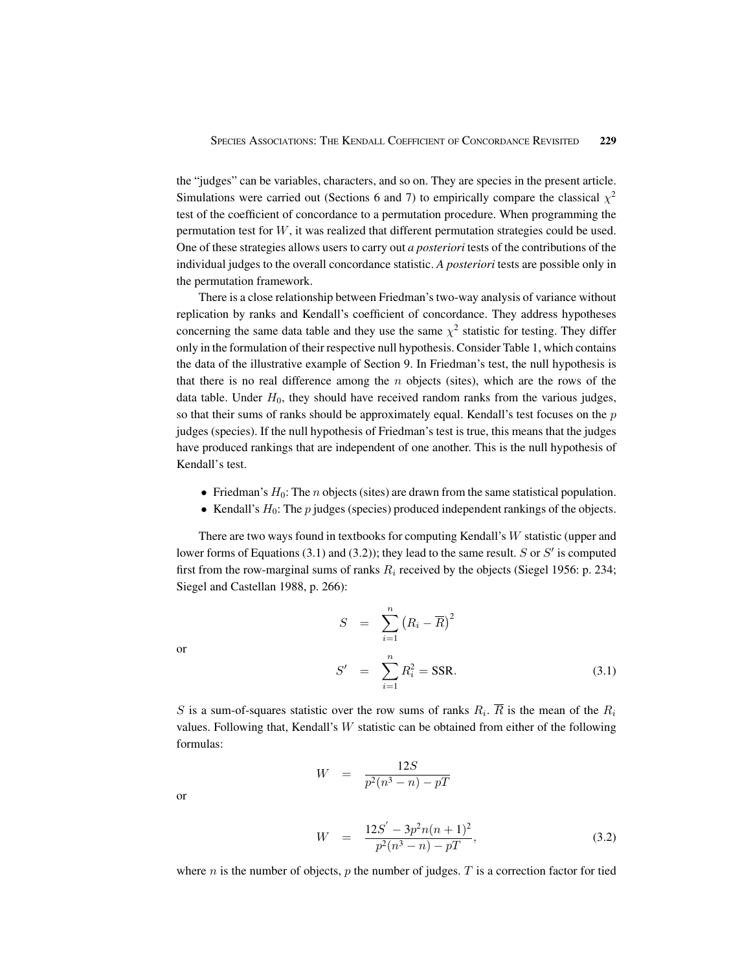the "judges" can be variables, characters, and so on. They are species in the present article. Simulations were carried out (Sections 6 and 7) to empirically compare the classical  $\chi^2$ test of the coefficient of concordance to a permutation procedure. When programming the permutation test for W, it was realized that different permutation strategies could be used. One of these strategies allows users to carry out *a posteriori* tests of the contributions of the individual judges to the overall concordance statistic. *A posteriori* tests are possible only in the permutation framework.

There is a close relationship between Friedman's two-way analysis of variance without replication by ranks and Kendall's coefficient of concordance. They address hypotheses concerning the same data table and they use the same  $\chi^2$  statistic for testing. They differ only in the formulation of their respective null hypothesis. Consider Table 1, which contains the data of the illustrative example of Section 9. In Friedman's test, the null hypothesis is that there is no real difference among the  $n$  objects (sites), which are the rows of the data table. Under  $H_0$ , they should have received random ranks from the various judges, so that their sums of ranks should be approximately equal. Kendall's test focuses on the  $p$ judges (species). If the null hypothesis of Friedman's test is true, this means that the judges have produced rankings that are independent of one another. This is the null hypothesis of Kendall's test.

- Friedman's  $H_0$ : The *n* objects (sites) are drawn from the same statistical population.
- Kendall's  $H_0$ : The  $p$  judges (species) produced independent rankings of the objects.

There are two ways found in textbooks for computing Kendall's W statistic (upper and lower forms of Equations (3.1) and (3.2)); they lead to the same result. S or  $S'$  is computed first from the row-marginal sums of ranks  $R_i$  received by the objects (Siegel 1956: p. 234; Siegel and Castellan 1988, p. 266):

or

$$
S = \sum_{i=1}^{n} (R_i - \overline{R})^2
$$
  

$$
S' = \sum_{i=1}^{n} R_i^2 = \text{SSR}.
$$
 (3.1)

S is a sum-of-squares statistic over the row sums of ranks  $R_i$ .  $\overline{R}$  is the mean of the  $R_i$ values. Following that, Kendall's  $W$  statistic can be obtained from either of the following formulas:

$$
W = \frac{12S}{p^2(n^3 - n) - pT}
$$

or

$$
W = \frac{12S' - 3p^2n(n+1)^2}{p^2(n^3 - n) - pT},
$$
\n(3.2)

where *n* is the number of objects, *p* the number of judges. *T* is a correction factor for tied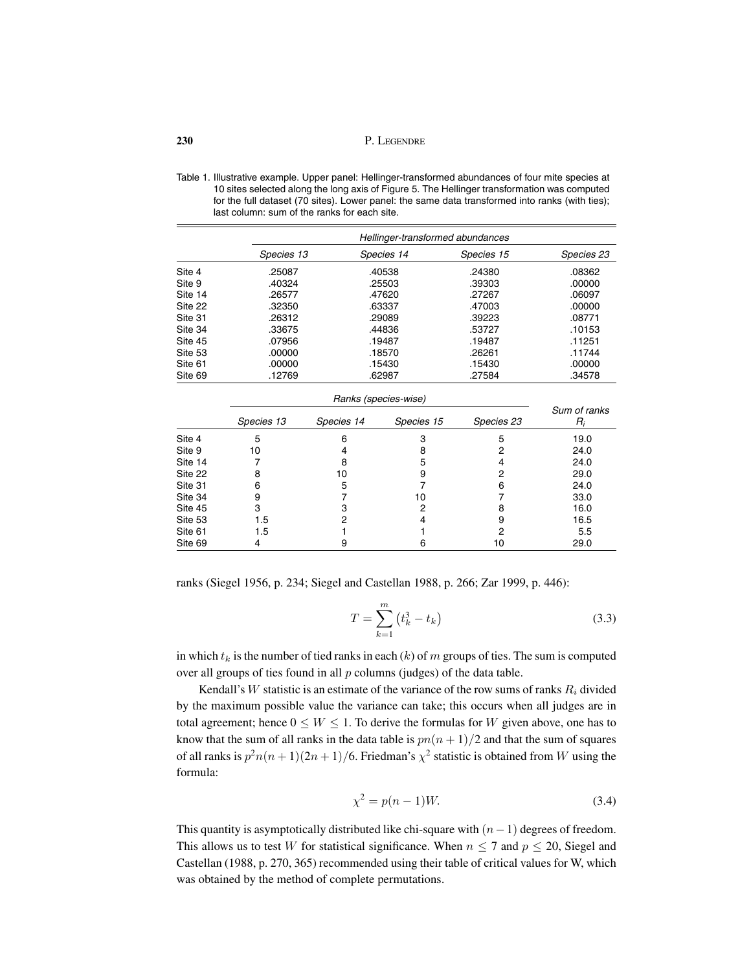|         | Hellinger-transformed abundances |            |            |            |
|---------|----------------------------------|------------|------------|------------|
|         | Species 13                       | Species 14 | Species 15 | Species 23 |
| Site 4  | .25087                           | .40538     | .24380     | .08362     |
| Site 9  | .40324                           | .25503     | .39303     | .00000     |
| Site 14 | .26577                           | .47620     | .27267     | .06097     |
| Site 22 | .32350                           | .63337     | .47003     | .00000     |
| Site 31 | .26312                           | .29089     | .39223     | .08771     |
| Site 34 | .33675                           | .44836     | .53727     | .10153     |
| Site 45 | .07956                           | .19487     | .19487     | .11251     |
| Site 53 | .00000                           | .18570     | .26261     | .11744     |
| Site 61 | .00000                           | .15430     | .15430     | .00000     |
| Site 69 | .12769                           | .62987     | .27584     | .34578     |

Table 1. Illustrative example. Upper panel: Hellinger-transformed abundances of four mite species at 10 sites selected along the long axis of Figure 5. The Hellinger transformation was computed for the full dataset (70 sites). Lower panel: the same data transformed into ranks (with ties); last column: sum of the ranks for each site.

|         | Ranks (species-wise) |            |            |            |                       |
|---------|----------------------|------------|------------|------------|-----------------------|
|         | Species 13           | Species 14 | Species 15 | Species 23 | Sum of ranks<br>$R_i$ |
| Site 4  | 5                    | 6          | з          | 5          | 19.0                  |
| Site 9  | 10                   |            |            |            | 24.0                  |
| Site 14 |                      |            | 5          |            | 24.0                  |
| Site 22 | 8                    | 10         | 9          |            | 29.0                  |
| Site 31 | 6                    | 5          |            | 6          | 24.0                  |
| Site 34 | 9                    |            | 10         |            | 33.0                  |
| Site 45 | З                    |            | 2          |            | 16.0                  |
| Site 53 | 1.5                  |            |            |            | 16.5                  |
| Site 61 | 1.5                  |            |            | າ          | 5.5                   |
| Site 69 | 4                    |            | 6          | 10         | 29.0                  |

ranks (Siegel 1956, p. 234; Siegel and Castellan 1988, p. 266; Zar 1999, p. 446):

$$
T = \sum_{k=1}^{m} (t_k^3 - t_k)
$$
 (3.3)

in which  $t_k$  is the number of tied ranks in each (k) of m groups of ties. The sum is computed over all groups of ties found in all  $p$  columns (judges) of the data table.

Kendall's W statistic is an estimate of the variance of the row sums of ranks  $R_i$  divided by the maximum possible value the variance can take; this occurs when all judges are in total agreement; hence  $0 \leq W \leq 1$ . To derive the formulas for W given above, one has to know that the sum of all ranks in the data table is  $pn(n + 1)/2$  and that the sum of squares of all ranks is  $p^2n(n+1)(2n+1)/6$ . Friedman's  $\chi^2$  statistic is obtained from W using the formula:

$$
\chi^2 = p(n-1)W.\tag{3.4}
$$

This quantity is asymptotically distributed like chi-square with  $(n-1)$  degrees of freedom. This allows us to test W for statistical significance. When  $n \le 7$  and  $p \le 20$ , Siegel and Castellan (1988, p. 270, 365) recommended using their table of critical values for W, which was obtained by the method of complete permutations.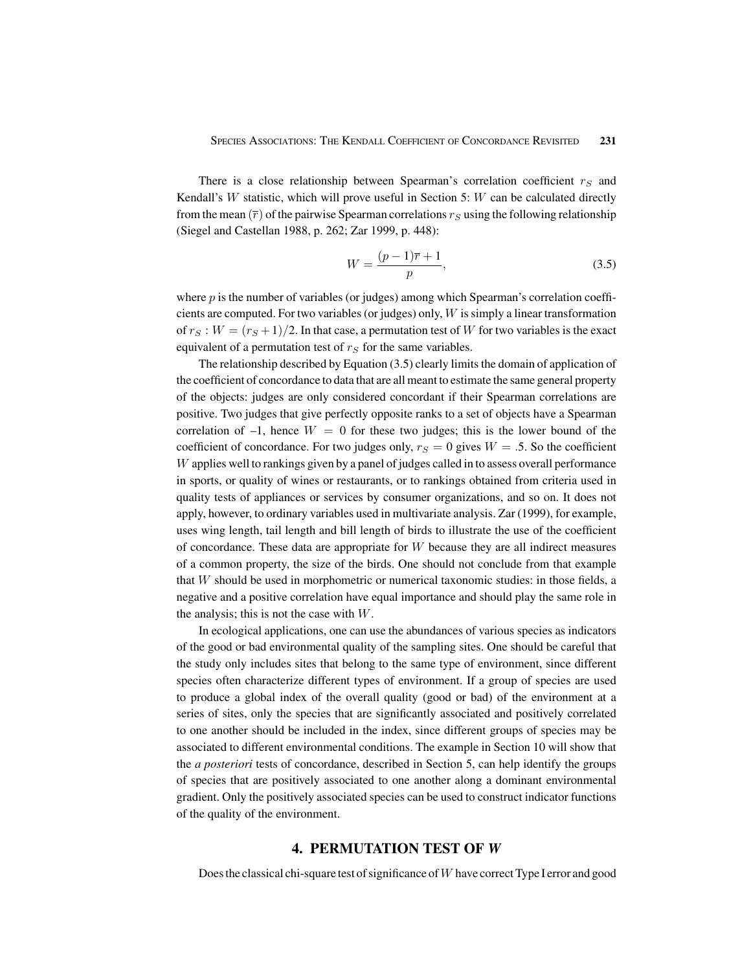There is a close relationship between Spearman's correlation coefficient  $r_S$  and Kendall's W statistic, which will prove useful in Section 5: W can be calculated directly from the mean  $(\bar{r})$  of the pairwise Spearman correlations  $r_S$  using the following relationship (Siegel and Castellan 1988, p. 262; Zar 1999, p. 448):

$$
W = \frac{(p-1)\overline{r} + 1}{p},\tag{3.5}
$$

where  $p$  is the number of variables (or judges) among which Spearman's correlation coefficients are computed. For two variables (or judges) only,  $W$  is simply a linear transformation of  $r_S : W = (r_S + 1)/2$ . In that case, a permutation test of W for two variables is the exact equivalent of a permutation test of  $r<sub>S</sub>$  for the same variables.

The relationship described by Equation (3.5) clearly limits the domain of application of the coefficient of concordance to data that are all meant to estimate the same general property of the objects: judges are only considered concordant if their Spearman correlations are positive. Two judges that give perfectly opposite ranks to a set of objects have a Spearman correlation of  $-1$ , hence  $W = 0$  for these two judges; this is the lower bound of the coefficient of concordance. For two judges only,  $r<sub>S</sub> = 0$  gives  $W = .5$ . So the coefficient W applies well to rankings given by a panel of judges called in to assess overall performance in sports, or quality of wines or restaurants, or to rankings obtained from criteria used in quality tests of appliances or services by consumer organizations, and so on. It does not apply, however, to ordinary variables used in multivariate analysis. Zar (1999), for example, uses wing length, tail length and bill length of birds to illustrate the use of the coefficient of concordance. These data are appropriate for  $W$  because they are all indirect measures of a common property, the size of the birds. One should not conclude from that example that  $W$  should be used in morphometric or numerical taxonomic studies: in those fields, a negative and a positive correlation have equal importance and should play the same role in the analysis; this is not the case with  $W$ .

In ecological applications, one can use the abundances of various species as indicators of the good or bad environmental quality of the sampling sites. One should be careful that the study only includes sites that belong to the same type of environment, since different species often characterize different types of environment. If a group of species are used to produce a global index of the overall quality (good or bad) of the environment at a series of sites, only the species that are significantly associated and positively correlated to one another should be included in the index, since different groups of species may be associated to different environmental conditions. The example in Section 10 will show that the *a posteriori* tests of concordance, described in Section 5, can help identify the groups of species that are positively associated to one another along a dominant environmental gradient. Only the positively associated species can be used to construct indicator functions of the quality of the environment.

## **4. PERMUTATION TEST OF** *W*

Does the classical chi-square test of significance of  $W$  have correct Type I error and good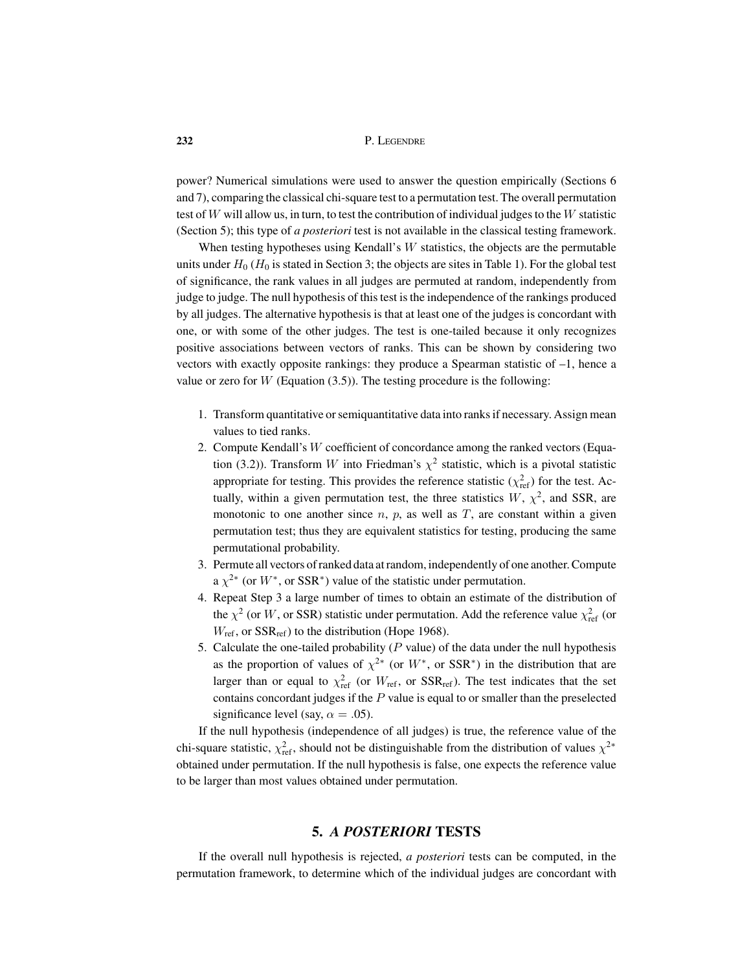power? Numerical simulations were used to answer the question empirically (Sections 6 and 7), comparing the classical chi-square test to a permutation test. The overall permutation test of  $W$  will allow us, in turn, to test the contribution of individual judges to the  $W$  statistic (Section 5); this type of *a posteriori* test is not available in the classical testing framework.

When testing hypotheses using Kendall's  $W$  statistics, the objects are the permutable units under  $H_0$  ( $H_0$  is stated in Section 3; the objects are sites in Table 1). For the global test of significance, the rank values in all judges are permuted at random, independently from judge to judge. The null hypothesis of this test is the independence of the rankings produced by all judges. The alternative hypothesis is that at least one of the judges is concordant with one, or with some of the other judges. The test is one-tailed because it only recognizes positive associations between vectors of ranks. This can be shown by considering two vectors with exactly opposite rankings: they produce a Spearman statistic of –1, hence a value or zero for  $W$  (Equation (3.5)). The testing procedure is the following:

- 1. Transform quantitative or semiquantitative data into ranks if necessary. Assign mean values to tied ranks.
- 2. Compute Kendall's W coefficient of concordance among the ranked vectors (Equation (3.2)). Transform W into Friedman's  $\chi^2$  statistic, which is a pivotal statistic appropriate for testing. This provides the reference statistic  $(\chi^2_{\text{ref}})$  for the test. Actually, within a given permutation test, the three statistics  $W$ ,  $\chi^2$ , and SSR, are monotonic to one another since n, p, as well as  $T$ , are constant within a given permutation test; thus they are equivalent statistics for testing, producing the same permutational probability.
- 3. Permute all vectors of ranked data at random, independently of one another. Compute  $a \chi^{2*}$  (or  $W^*$ , or SSR<sup>\*</sup>) value of the statistic under permutation.
- 4. Repeat Step 3 a large number of times to obtain an estimate of the distribution of the  $\chi^2$  (or W, or SSR) statistic under permutation. Add the reference value  $\chi^2_{\text{ref}}$  (or  $W_{\text{ref}}$ , or  $SSR_{\text{ref}}$ ) to the distribution (Hope 1968).
- 5. Calculate the one-tailed probability ( $P$  value) of the data under the null hypothesis as the proportion of values of  $\chi^{2*}$  (or  $W^*$ , or SSR<sup>\*</sup>) in the distribution that are larger than or equal to  $\chi^2_{\text{ref}}$  (or  $W_{\text{ref}}$ , or SSR<sub>ref</sub>). The test indicates that the set contains concordant judges if the  $P$  value is equal to or smaller than the preselected significance level (say,  $\alpha = .05$ ).

If the null hypothesis (independence of all judges) is true, the reference value of the chi-square statistic,  $\chi^2_{\text{ref}}$ , should not be distinguishable from the distribution of values  $\chi^{2*}$ obtained under permutation. If the null hypothesis is false, one expects the reference value to be larger than most values obtained under permutation.

### **5.** *A POSTERIORI* **TESTS**

If the overall null hypothesis is rejected, *a posteriori* tests can be computed, in the permutation framework, to determine which of the individual judges are concordant with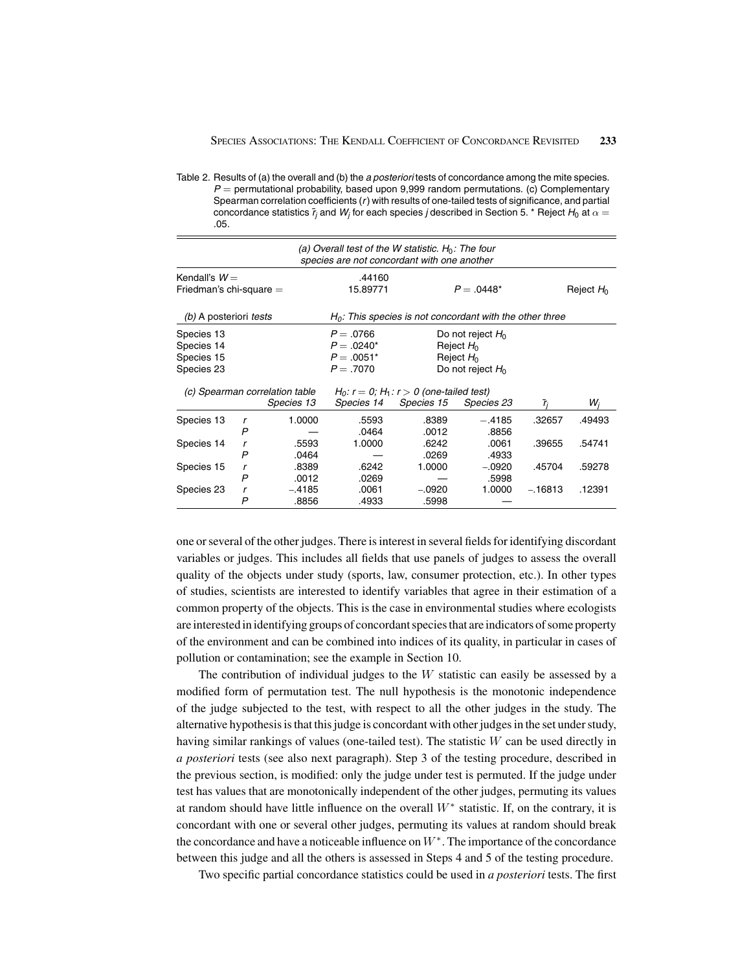Table 2. Results of (a) the overall and (b) the *a posteriori* tests of concordance among the mite species. *P* = permutational probability, based upon 9,999 random permutations. (c) Complementary Spearman correlation coefficients (*r*) with results of one-tailed tests of significance, and partial concordance statistics  $\bar{r}_j$  and  $W_j$  for each species *j* described in Section 5. \* Reject  $H_0$  at  $\alpha =$ .05.

|                                                      |        |                                                            | (a) Overall test of the W statistic. $H_0$ : The four<br>species are not concordant with one another |                                                                            |                   |           |              |
|------------------------------------------------------|--------|------------------------------------------------------------|------------------------------------------------------------------------------------------------------|----------------------------------------------------------------------------|-------------------|-----------|--------------|
| Kendall's $W =$<br>Friedman's chi-square $=$         |        |                                                            | .44160<br>15.89771                                                                                   |                                                                            | $P = .0448*$      |           | Reject $H_0$ |
| (b) A posteriori tests                               |        |                                                            |                                                                                                      | $H_0$ : This species is not concordant with the other three                |                   |           |              |
| Species 13<br>Species 14<br>Species 15<br>Species 23 |        | $P = .0766$<br>$P = .0240*$<br>$P = .0051*$<br>$P = .7070$ |                                                                                                      | Do not reject $H_0$<br>Reject $H_0$<br>Reject $H_0$<br>Do not reject $H_0$ |                   |           |              |
| (c) Spearman correlation table<br>Species 13         |        | Species 14                                                 | $H_0: r = 0$ ; $H_1: r > 0$ (one-tailed test)<br><i>Species 15</i>                                   | Species 23                                                                 | $r_i$             | $W_i$     |              |
| Species 13                                           | r<br>P | 1.0000                                                     | .5593<br>.0464                                                                                       | .8389<br>.0012                                                             | $-.4185$<br>.8856 | .32657    | .49493       |
| Species 14                                           | r<br>P | .5593<br>.0464                                             | 1.0000                                                                                               | .6242<br>.0269                                                             | .0061<br>.4933    | .39655    | .54741       |
| Species 15                                           | r<br>P | .8389<br>.0012                                             | .6242<br>.0269                                                                                       | 1.0000                                                                     | $-.0920$<br>.5998 | .45704    | .59278       |
| Species 23                                           | r<br>P | $-.4185$<br>.8856                                          | .0061<br>.4933                                                                                       | $-.0920$<br>.5998                                                          | 1.0000            | $-.16813$ | .12391       |

one or several of the other judges. There is interest in several fields for identifying discordant variables or judges. This includes all fields that use panels of judges to assess the overall quality of the objects under study (sports, law, consumer protection, etc.). In other types of studies, scientists are interested to identify variables that agree in their estimation of a common property of the objects. This is the case in environmental studies where ecologists are interested in identifying groups of concordant species that are indicators of some property of the environment and can be combined into indices of its quality, in particular in cases of pollution or contamination; see the example in Section 10.

The contribution of individual judges to the  $W$  statistic can easily be assessed by a modified form of permutation test. The null hypothesis is the monotonic independence of the judge subjected to the test, with respect to all the other judges in the study. The alternative hypothesis is that this judge is concordant with other judges in the set under study, having similar rankings of values (one-tailed test). The statistic  $W$  can be used directly in *a posteriori* tests (see also next paragraph). Step 3 of the testing procedure, described in the previous section, is modified: only the judge under test is permuted. If the judge under test has values that are monotonically independent of the other judges, permuting its values at random should have little influence on the overall  $W^*$  statistic. If, on the contrary, it is concordant with one or several other judges, permuting its values at random should break the concordance and have a noticeable influence on  $W^*$ . The importance of the concordance between this judge and all the others is assessed in Steps 4 and 5 of the testing procedure.

Two specific partial concordance statistics could be used in *a posteriori* tests. The first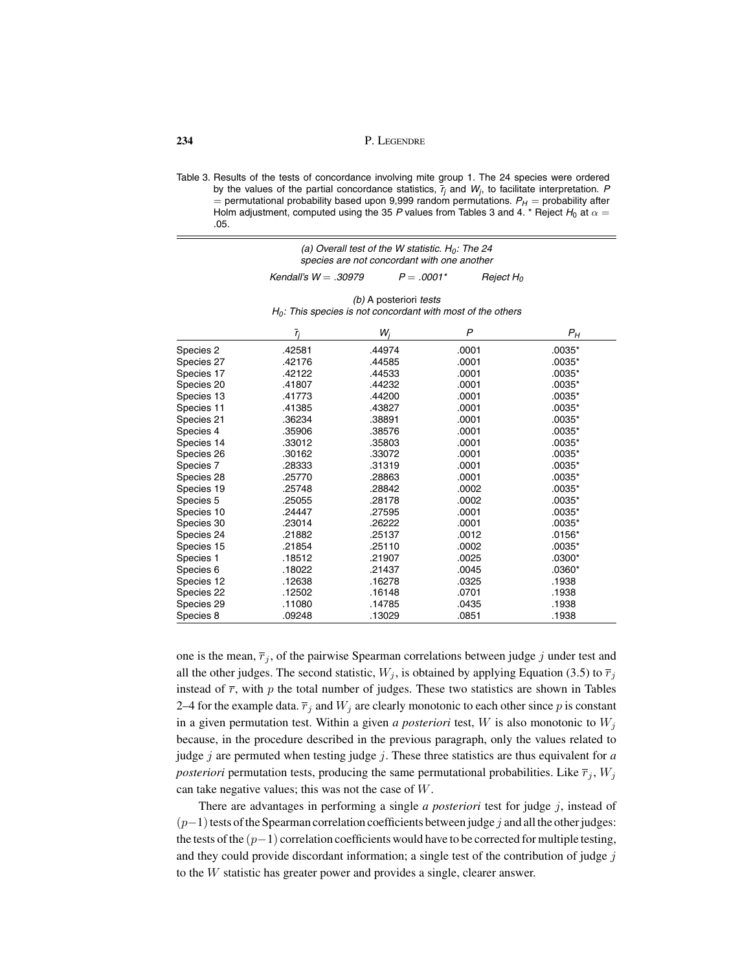Table 3. Results of the tests of concordance involving mite group 1. The 24 species were ordered by the values of the partial concordance statistics,  $\bar{r}_j$  and  $W_j$ , to facilitate interpretation. *P*  $=$  permutational probability based upon 9,999 random permutations.  $P_H =$  probability after Holm adjustment, computed using the 35 P values from Tables 3 and 4. \* Reject  $H_0$  at  $\alpha =$ .05.

| (a) Overall test of the W statistic. $H_0$ : The 24 |              |              |  |  |
|-----------------------------------------------------|--------------|--------------|--|--|
| species are not concordant with one another         |              |              |  |  |
| Kendall's $W = .30979$                              | $P = .0001*$ | Reject $H_0$ |  |  |

| (b) A posteriori tests                                         |  |
|----------------------------------------------------------------|--|
| $H_0$ : This species is not concordant with most of the others |  |

|            | $\bar{r}_i$ | $W_i$  | $\mathsf{P}$ | $P_H$    |
|------------|-------------|--------|--------------|----------|
| Species 2  | .42581      | .44974 | .0001        | $.0035*$ |
| Species 27 | .42176      | .44585 | .0001        | $.0035*$ |
| Species 17 | .42122      | .44533 | .0001        | $.0035*$ |
| Species 20 | .41807      | .44232 | .0001        | $.0035*$ |
| Species 13 | .41773      | .44200 | .0001        | $.0035*$ |
| Species 11 | .41385      | .43827 | .0001        | .0035*   |
| Species 21 | .36234      | .38891 | .0001        | $.0035*$ |
| Species 4  | .35906      | .38576 | .0001        | $.0035*$ |
| Species 14 | .33012      | .35803 | .0001        | $.0035*$ |
| Species 26 | .30162      | .33072 | .0001        | $.0035*$ |
| Species 7  | .28333      | .31319 | .0001        | $.0035*$ |
| Species 28 | .25770      | .28863 | .0001        | $.0035*$ |
| Species 19 | .25748      | .28842 | .0002        | $.0035*$ |
| Species 5  | .25055      | .28178 | .0002        | $.0035*$ |
| Species 10 | .24447      | .27595 | .0001        | $.0035*$ |
| Species 30 | .23014      | .26222 | .0001        | $.0035*$ |
| Species 24 | .21882      | .25137 | .0012        | $.0156*$ |
| Species 15 | .21854      | .25110 | .0002        | $.0035*$ |
| Species 1  | .18512      | .21907 | .0025        | $.0300*$ |
| Species 6  | .18022      | .21437 | .0045        | .0360*   |
| Species 12 | .12638      | .16278 | .0325        | .1938    |
| Species 22 | .12502      | .16148 | .0701        | .1938    |
| Species 29 | .11080      | .14785 | .0435        | .1938    |
| Species 8  | .09248      | .13029 | .0851        | .1938    |

one is the mean,  $\overline{r}_j$ , of the pairwise Spearman correlations between judge j under test and all the other judges. The second statistic,  $W_j$ , is obtained by applying Equation (3.5) to  $\overline{r}_j$ instead of  $\bar{r}$ , with p the total number of judges. These two statistics are shown in Tables 2–4 for the example data.  $\overline{r}_j$  and  $W_j$  are clearly monotonic to each other since p is constant in a given permutation test. Within a given *a posteriori* test,  $W$  is also monotonic to  $W_i$ because, in the procedure described in the previous paragraph, only the values related to judge j are permuted when testing judge j. These three statistics are thus equivalent for  $a$ *posteriori* permutation tests, producing the same permutational probabilities. Like  $\overline{r}_j$ ,  $W_j$ can take negative values; this was not the case of W.

There are advantages in performing a single *a posteriori* test for judge j, instead of  $(p-1)$  tests of the Spearman correlation coefficients between judge j and all the other judges: the tests of the  $(p-1)$  correlation coefficients would have to be corrected for multiple testing, and they could provide discordant information; a single test of the contribution of judge  $j$ to the W statistic has greater power and provides a single, clearer answer.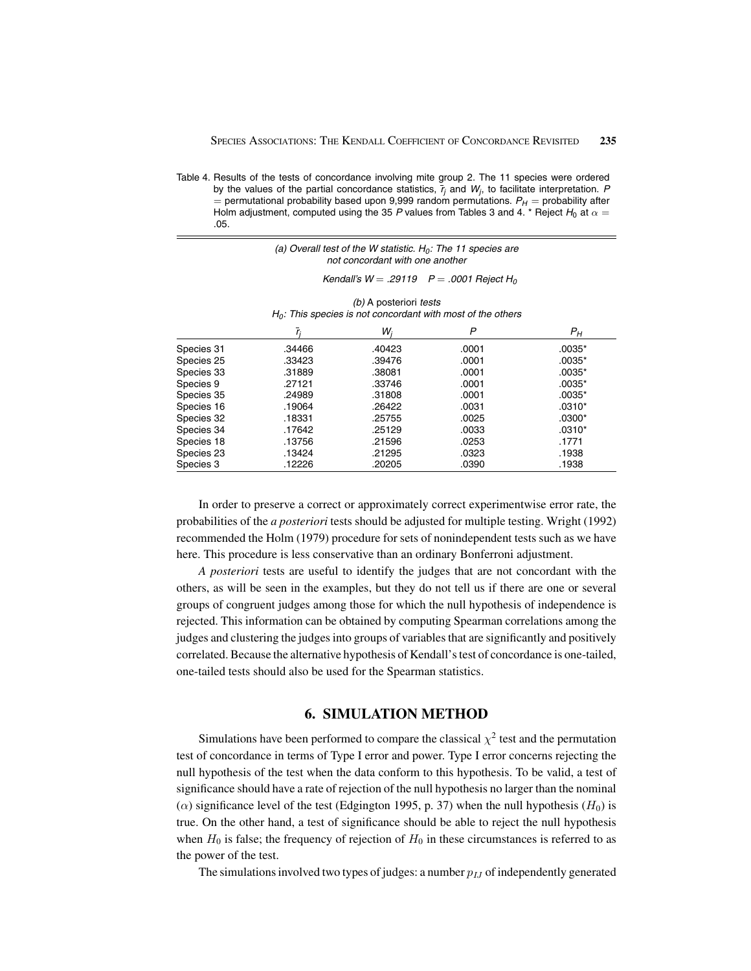Table 4. Results of the tests of concordance involving mite group 2. The 11 species were ordered by the values of the partial concordance statistics,  $\bar{r}_j$  and  $W_j$ , to facilitate interpretation. *P*  $=$  permutational probability based upon 9,999 random permutations.  $P_H =$  probability after Holm adjustment, computed using the 35 P values from Tables 3 and 4. \* Reject  $H_0$  at  $\alpha =$ .05.

| (a) Overall test of the W statistic. $H_0$ : The 11 species are |  |
|-----------------------------------------------------------------|--|
| not concordant with one another                                 |  |

#### *Kendall's W* = *.29119 P* = *.0001 Reject H0*

| (b) A posteriori tests                                         |  |
|----------------------------------------------------------------|--|
| $H_0$ : This species is not concordant with most of the others |  |

|            |        | W,     | P     | $P_H$    |
|------------|--------|--------|-------|----------|
| Species 31 | .34466 | .40423 | .0001 | .0035*   |
| Species 25 | .33423 | .39476 | .0001 | $.0035*$ |
| Species 33 | .31889 | .38081 | .0001 | $.0035*$ |
| Species 9  | .27121 | .33746 | .0001 | .0035*   |
| Species 35 | .24989 | .31808 | .0001 | $.0035*$ |
| Species 16 | .19064 | .26422 | .0031 | $.0310*$ |
| Species 32 | .18331 | .25755 | .0025 | .0300*   |
| Species 34 | .17642 | .25129 | .0033 | $.0310*$ |
| Species 18 | .13756 | .21596 | .0253 | .1771    |
| Species 23 | .13424 | .21295 | .0323 | .1938    |
| Species 3  | .12226 | .20205 | .0390 | .1938    |

In order to preserve a correct or approximately correct experimentwise error rate, the probabilities of the *a posteriori* tests should be adjusted for multiple testing. Wright (1992) recommended the Holm (1979) procedure for sets of nonindependent tests such as we have here. This procedure is less conservative than an ordinary Bonferroni adjustment.

*A posteriori* tests are useful to identify the judges that are not concordant with the others, as will be seen in the examples, but they do not tell us if there are one or several groups of congruent judges among those for which the null hypothesis of independence is rejected. This information can be obtained by computing Spearman correlations among the judges and clustering the judges into groups of variables that are significantly and positively correlated. Because the alternative hypothesis of Kendall's test of concordance is one-tailed, one-tailed tests should also be used for the Spearman statistics.

## **6. SIMULATION METHOD**

Simulations have been performed to compare the classical  $\chi^2$  test and the permutation test of concordance in terms of Type I error and power. Type I error concerns rejecting the null hypothesis of the test when the data conform to this hypothesis. To be valid, a test of significance should have a rate of rejection of the null hypothesis no larger than the nominal ( $\alpha$ ) significance level of the test (Edgington 1995, p. 37) when the null hypothesis ( $H_0$ ) is true. On the other hand, a test of significance should be able to reject the null hypothesis when  $H_0$  is false; the frequency of rejection of  $H_0$  in these circumstances is referred to as the power of the test.

The simulations involved two types of judges: a number  $p_{IJ}$  of independently generated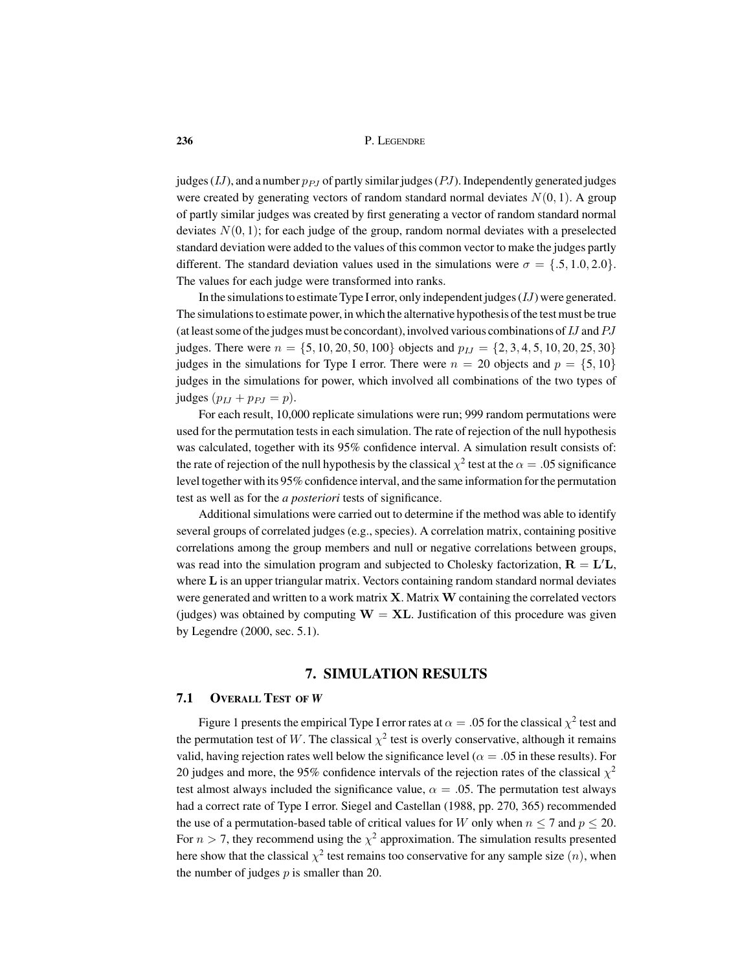judges (IJ), and a number  $p_{PI}$  of partly similar judges (PJ). Independently generated judges were created by generating vectors of random standard normal deviates  $N(0, 1)$ . A group of partly similar judges was created by first generating a vector of random standard normal deviates  $N(0, 1)$ ; for each judge of the group, random normal deviates with a preselected standard deviation were added to the values of this common vector to make the judges partly different. The standard deviation values used in the simulations were  $\sigma = \{.5, 1.0, 2.0\}$ . The values for each judge were transformed into ranks.

In the simulations to estimate Type I error, only independent judges  $(IJ)$  were generated. The simulations to estimate power, in which the alternative hypothesis of the test must be true (at least some of the judges must be concordant), involved various combinations of IJ andPJ judges. There were  $n = \{5, 10, 20, 50, 100\}$  objects and  $p_{1J} = \{2, 3, 4, 5, 10, 20, 25, 30\}$ judges in the simulations for Type I error. There were  $n = 20$  objects and  $p = \{5, 10\}$ judges in the simulations for power, which involved all combinations of the two types of judges  $(p_{IJ} + p_{PJ} = p)$ .

For each result, 10,000 replicate simulations were run; 999 random permutations were used for the permutation tests in each simulation. The rate of rejection of the null hypothesis was calculated, together with its 95% confidence interval. A simulation result consists of: the rate of rejection of the null hypothesis by the classical  $\chi^2$  test at the  $\alpha = .05$  significance level together with its 95% confidence interval, and the same information for the permutation test as well as for the *a posteriori* tests of significance.

Additional simulations were carried out to determine if the method was able to identify several groups of correlated judges (e.g., species). A correlation matrix, containing positive correlations among the group members and null or negative correlations between groups, was read into the simulation program and subjected to Cholesky factorization,  $\mathbf{R} = \mathbf{L}'\mathbf{L}$ , where **L** is an upper triangular matrix. Vectors containing random standard normal deviates were generated and written to a work matrix **X**. Matrix**W** containing the correlated vectors (judges) was obtained by computing  $W = XL$ . Justification of this procedure was given by Legendre (2000, sec. 5.1).

## **7. SIMULATION RESULTS**

#### **7.1 OVERALL TEST OF** *W*

Figure 1 presents the empirical Type I error rates at  $\alpha = .05$  for the classical  $\chi^2$  test and the permutation test of W. The classical  $\chi^2$  test is overly conservative, although it remains valid, having rejection rates well below the significance level ( $\alpha = .05$  in these results). For 20 judges and more, the 95% confidence intervals of the rejection rates of the classical  $\chi^2$ test almost always included the significance value,  $\alpha = 0.05$ . The permutation test always had a correct rate of Type I error. Siegel and Castellan (1988, pp. 270, 365) recommended the use of a permutation-based table of critical values for W only when  $n \le 7$  and  $p \le 20$ . For  $n > 7$ , they recommend using the  $\chi^2$  approximation. The simulation results presented here show that the classical  $\chi^2$  test remains too conservative for any sample size  $(n)$ , when the number of judges  $p$  is smaller than 20.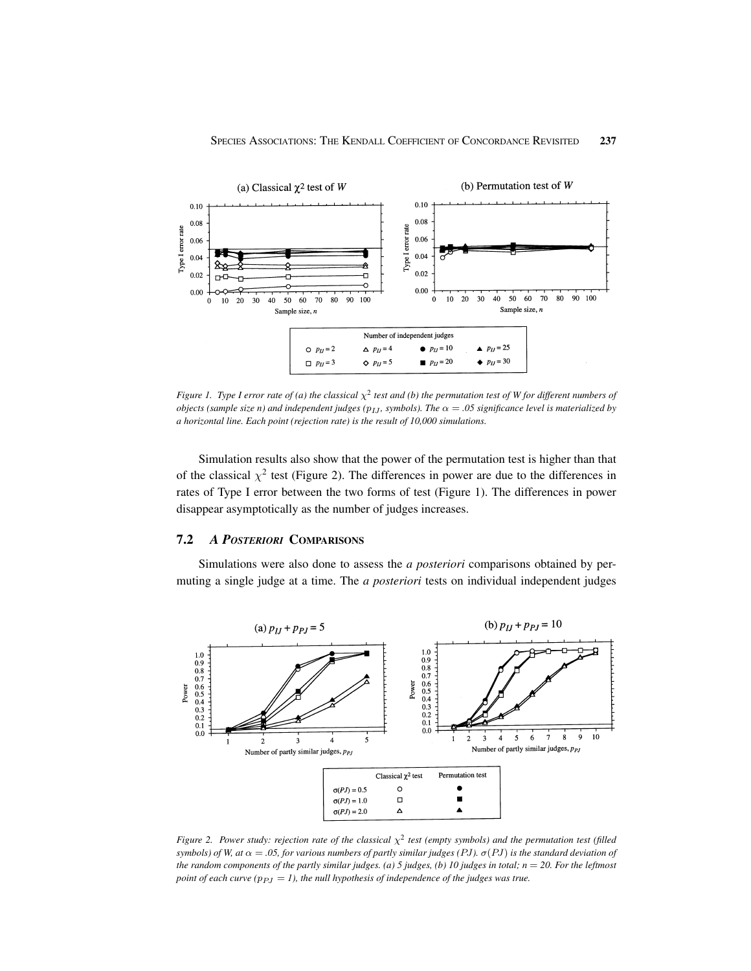

*Figure 1. Type I error rate of (a) the classical*  $\chi^2$  *test and (b) the permutation test of W for different numbers of objects (sample size n) and independent judges (* $p_{IJ}$ *, symbols). The*  $\alpha = .05$  *significance level is materialized by a horizontal line. Each point (rejection rate) is the result of 10,000 simulations.*

Simulation results also show that the power of the permutation test is higher than that of the classical  $\chi^2$  test (Figure 2). The differences in power are due to the differences in rates of Type I error between the two forms of test (Figure 1). The differences in power disappear asymptotically as the number of judges increases.

### **7.2** *A POSTERIORI* **COMPARISONS**

Simulations were also done to assess the *a posteriori* comparisons obtained by permuting a single judge at a time. The *a posteriori* tests on individual independent judges



*Figure 2. Power study: rejection rate of the classical*  $\chi^2$  *test (empty symbols) and the permutation test (filled symbols) of W, at*  $\alpha = .05$ , for various numbers of partly similar judges (PJ).  $\sigma$ (PJ) is the standard deviation of *the random components of the partly similar judges. (a) 5 judges, (b) 10 judges in total; n* = *20. For the leftmost point of each curve (* $p_{PJ} = 1$ *), the null hypothesis of independence of the judges was true.*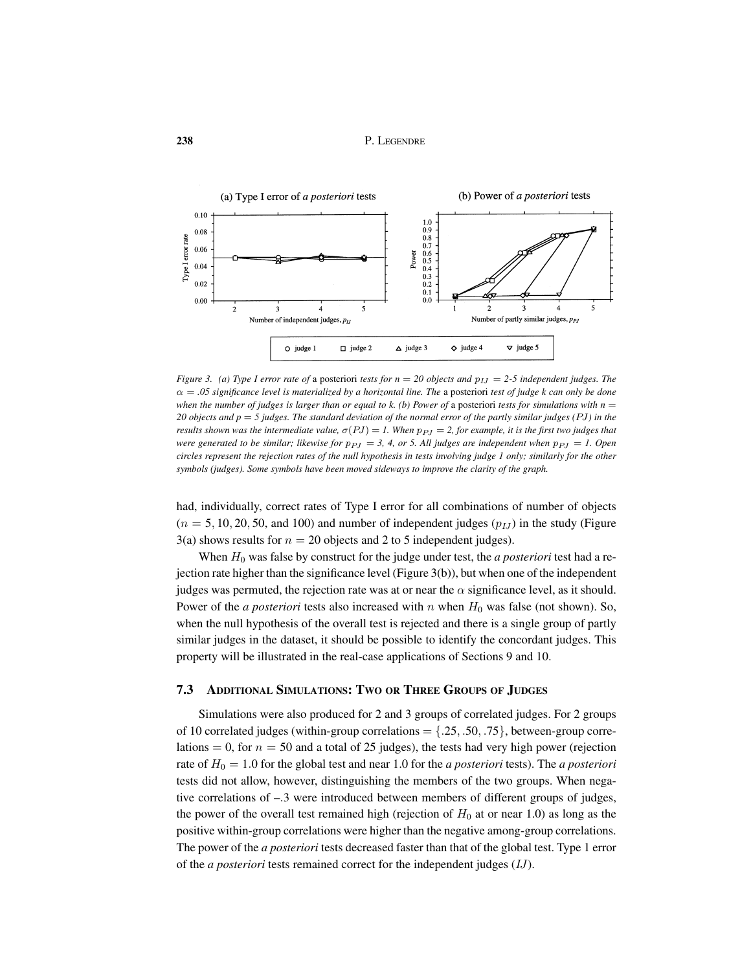

*Figure 3. (a) Type I error rate of a posteriori tests for*  $n = 20$  *objects and*  $p_{IJ} = 2-5$  *independent judges. The* α = *.05 significance level is materialized by a horizontal line. The* a posteriori *test of judge k can only be done when the number of judges is larger than or equal to k. (b) Power of a posteriori <i>tests for simulations with*  $n =$ *20 objects and p* = *5 judges. The standard deviation of the normal error of the partly similar judges (*PJ*) in the results shown was the intermediate value,*  $\sigma(PJ) = I$ . When  $p_{PI} = 2$ , for example, it is the first two judges that *were generated to be similar; likewise for*  $p_{PI} = 3$ , 4, or 5. All judges are independent when  $p_{PI} = 1$ . Open *circles represent the rejection rates of the null hypothesis in tests involving judge 1 only; similarly for the other symbols (judges). Some symbols have been moved sideways to improve the clarity of the graph.*

had, individually, correct rates of Type I error for all combinations of number of objects  $(n = 5, 10, 20, 50,$  and 100) and number of independent judges  $(p_{LI})$  in the study (Figure 3(a) shows results for  $n = 20$  objects and 2 to 5 independent judges).

When  $H_0$  was false by construct for the judge under test, the *a posteriori* test had a rejection rate higher than the significance level (Figure 3(b)), but when one of the independent judges was permuted, the rejection rate was at or near the  $\alpha$  significance level, as it should. Power of the *a posteriori* tests also increased with  $n$  when  $H_0$  was false (not shown). So, when the null hypothesis of the overall test is rejected and there is a single group of partly similar judges in the dataset, it should be possible to identify the concordant judges. This property will be illustrated in the real-case applications of Sections 9 and 10.

#### **7.3 ADDITIONAL SIMULATIONS: TWO OR THREE GROUPS OF JUDGES**

Simulations were also produced for 2 and 3 groups of correlated judges. For 2 groups of 10 correlated judges (within-group correlations  $= \{.25, .50, .75\}$ , between-group correlations = 0, for  $n = 50$  and a total of 25 judges), the tests had very high power (rejection rate of  $H_0 = 1.0$  for the global test and near 1.0 for the *a posteriori* tests). The *a posteriori* tests did not allow, however, distinguishing the members of the two groups. When negative correlations of –.3 were introduced between members of different groups of judges, the power of the overall test remained high (rejection of  $H_0$  at or near 1.0) as long as the positive within-group correlations were higher than the negative among-group correlations. The power of the *a posteriori* tests decreased faster than that of the global test. Type 1 error of the *a posteriori* tests remained correct for the independent judges (IJ).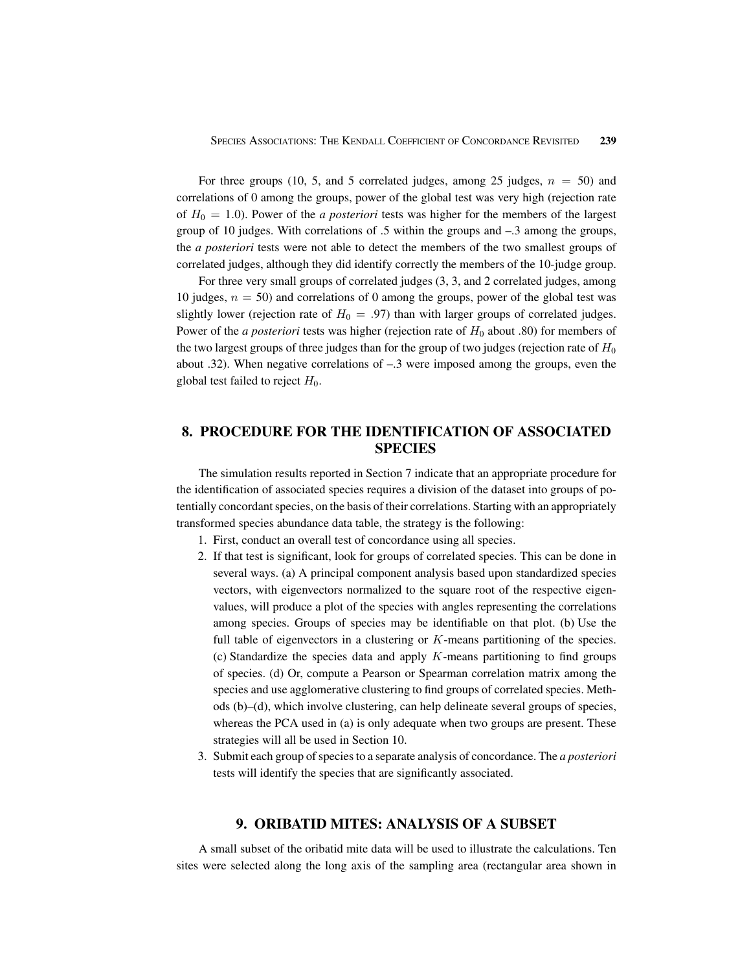For three groups (10, 5, and 5 correlated judges, among 25 judges,  $n = 50$ ) and correlations of 0 among the groups, power of the global test was very high (rejection rate of  $H_0 = 1.0$ ). Power of the *a posteriori* tests was higher for the members of the largest group of 10 judges. With correlations of .5 within the groups and –.3 among the groups, the *a posteriori* tests were not able to detect the members of the two smallest groups of correlated judges, although they did identify correctly the members of the 10-judge group.

For three very small groups of correlated judges (3, 3, and 2 correlated judges, among 10 judges,  $n = 50$ ) and correlations of 0 among the groups, power of the global test was slightly lower (rejection rate of  $H_0 = .97$ ) than with larger groups of correlated judges. Power of the *a posteriori* tests was higher (rejection rate of  $H_0$  about .80) for members of the two largest groups of three judges than for the group of two judges (rejection rate of  $H_0$ ) about .32). When negative correlations of –.3 were imposed among the groups, even the global test failed to reject  $H_0$ .

# **8. PROCEDURE FOR THE IDENTIFICATION OF ASSOCIATED SPECIES**

The simulation results reported in Section 7 indicate that an appropriate procedure for the identification of associated species requires a division of the dataset into groups of potentially concordant species, on the basis of their correlations. Starting with an appropriately transformed species abundance data table, the strategy is the following:

- 1. First, conduct an overall test of concordance using all species.
- 2. If that test is significant, look for groups of correlated species. This can be done in several ways. (a) A principal component analysis based upon standardized species vectors, with eigenvectors normalized to the square root of the respective eigenvalues, will produce a plot of the species with angles representing the correlations among species. Groups of species may be identifiable on that plot. (b) Use the full table of eigenvectors in a clustering or  $K$ -means partitioning of the species. (c) Standardize the species data and apply  $K$ -means partitioning to find groups of species. (d) Or, compute a Pearson or Spearman correlation matrix among the species and use agglomerative clustering to find groups of correlated species. Methods (b)–(d), which involve clustering, can help delineate several groups of species, whereas the PCA used in (a) is only adequate when two groups are present. These strategies will all be used in Section 10.
- 3. Submit each group of species to a separate analysis of concordance. The *a posteriori* tests will identify the species that are significantly associated.

## **9. ORIBATID MITES: ANALYSIS OF A SUBSET**

A small subset of the oribatid mite data will be used to illustrate the calculations. Ten sites were selected along the long axis of the sampling area (rectangular area shown in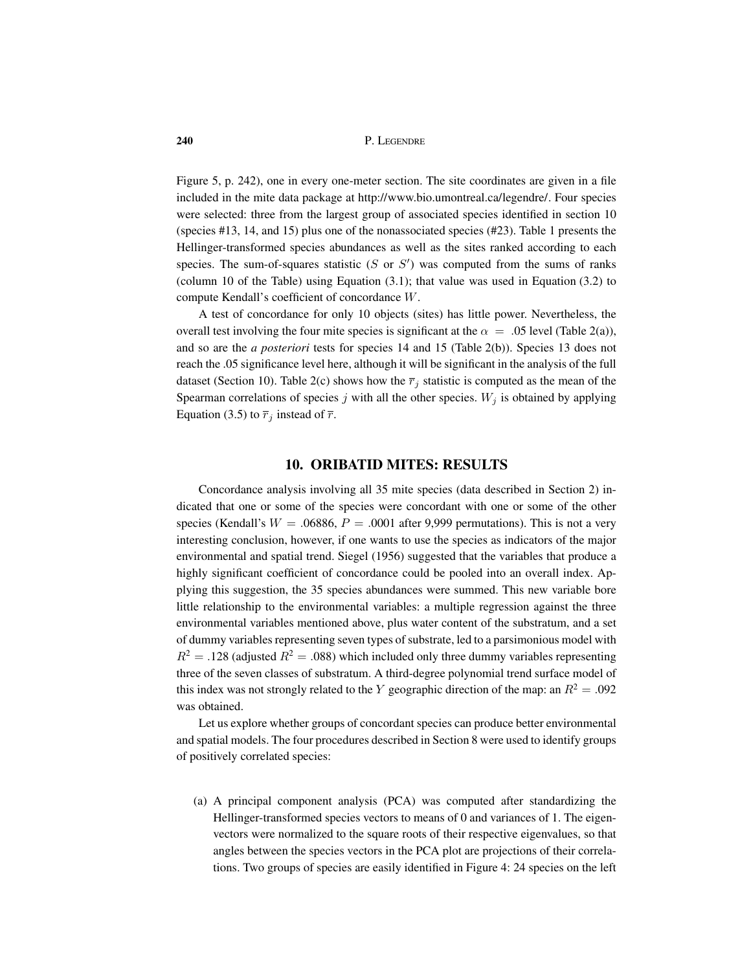Figure 5, p. 242), one in every one-meter section. The site coordinates are given in a file included in the mite data package at http://www.bio.umontreal.ca/legendre/. Four species were selected: three from the largest group of associated species identified in section 10 (species #13, 14, and 15) plus one of the nonassociated species (#23). Table 1 presents the Hellinger-transformed species abundances as well as the sites ranked according to each species. The sum-of-squares statistic  $(S \text{ or } S')$  was computed from the sums of ranks (column 10 of the Table) using Equation (3.1); that value was used in Equation (3.2) to compute Kendall's coefficient of concordance W.

A test of concordance for only 10 objects (sites) has little power. Nevertheless, the overall test involving the four mite species is significant at the  $\alpha = 0.05$  level (Table 2(a)), and so are the *a posteriori* tests for species 14 and 15 (Table 2(b)). Species 13 does not reach the .05 significance level here, although it will be significant in the analysis of the full dataset (Section 10). Table 2(c) shows how the  $\overline{r}_j$  statistic is computed as the mean of the Spearman correlations of species j with all the other species.  $W_j$  is obtained by applying Equation (3.5) to  $\overline{r}_j$  instead of  $\overline{r}$ .

## **10. ORIBATID MITES: RESULTS**

Concordance analysis involving all 35 mite species (data described in Section 2) indicated that one or some of the species were concordant with one or some of the other species (Kendall's  $W = .06886$ ,  $P = .0001$  after 9,999 permutations). This is not a very interesting conclusion, however, if one wants to use the species as indicators of the major environmental and spatial trend. Siegel (1956) suggested that the variables that produce a highly significant coefficient of concordance could be pooled into an overall index. Applying this suggestion, the 35 species abundances were summed. This new variable bore little relationship to the environmental variables: a multiple regression against the three environmental variables mentioned above, plus water content of the substratum, and a set of dummy variables representing seven types of substrate, led to a parsimonious model with  $R^2 = .128$  (adjusted  $R^2 = .088$ ) which included only three dummy variables representing three of the seven classes of substratum. A third-degree polynomial trend surface model of this index was not strongly related to the Y geographic direction of the map: an  $R^2 = .092$ was obtained.

Let us explore whether groups of concordant species can produce better environmental and spatial models. The four procedures described in Section 8 were used to identify groups of positively correlated species:

(a) A principal component analysis (PCA) was computed after standardizing the Hellinger-transformed species vectors to means of 0 and variances of 1. The eigenvectors were normalized to the square roots of their respective eigenvalues, so that angles between the species vectors in the PCA plot are projections of their correlations. Two groups of species are easily identified in Figure 4: 24 species on the left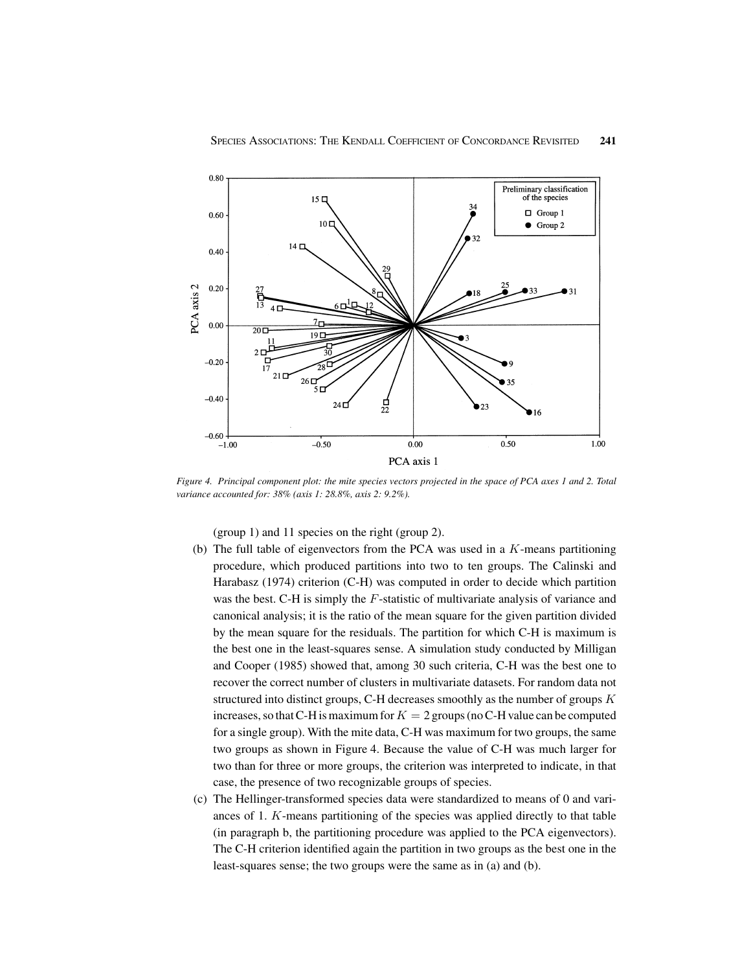

*Figure 4. Principal component plot: the mite species vectors projected in the space of PCA axes 1 and 2. Total variance accounted for: 38% (axis 1: 28.8%, axis 2: 9.2%).*

(group 1) and 11 species on the right (group 2).

- (b) The full table of eigenvectors from the PCA was used in a  $K$ -means partitioning procedure, which produced partitions into two to ten groups. The Calinski and Harabasz (1974) criterion (C-H) was computed in order to decide which partition was the best. C-H is simply the F-statistic of multivariate analysis of variance and canonical analysis; it is the ratio of the mean square for the given partition divided by the mean square for the residuals. The partition for which C-H is maximum is the best one in the least-squares sense. A simulation study conducted by Milligan and Cooper (1985) showed that, among 30 such criteria, C-H was the best one to recover the correct number of clusters in multivariate datasets. For random data not structured into distinct groups, C-H decreases smoothly as the number of groups  $K$ increases, so that C-H is maximum for  $K = 2$  groups (no C-H value can be computed for a single group). With the mite data, C-H was maximum for two groups, the same two groups as shown in Figure 4. Because the value of C-H was much larger for two than for three or more groups, the criterion was interpreted to indicate, in that case, the presence of two recognizable groups of species.
- (c) The Hellinger-transformed species data were standardized to means of 0 and variances of 1. K-means partitioning of the species was applied directly to that table (in paragraph b, the partitioning procedure was applied to the PCA eigenvectors). The C-H criterion identified again the partition in two groups as the best one in the least-squares sense; the two groups were the same as in (a) and (b).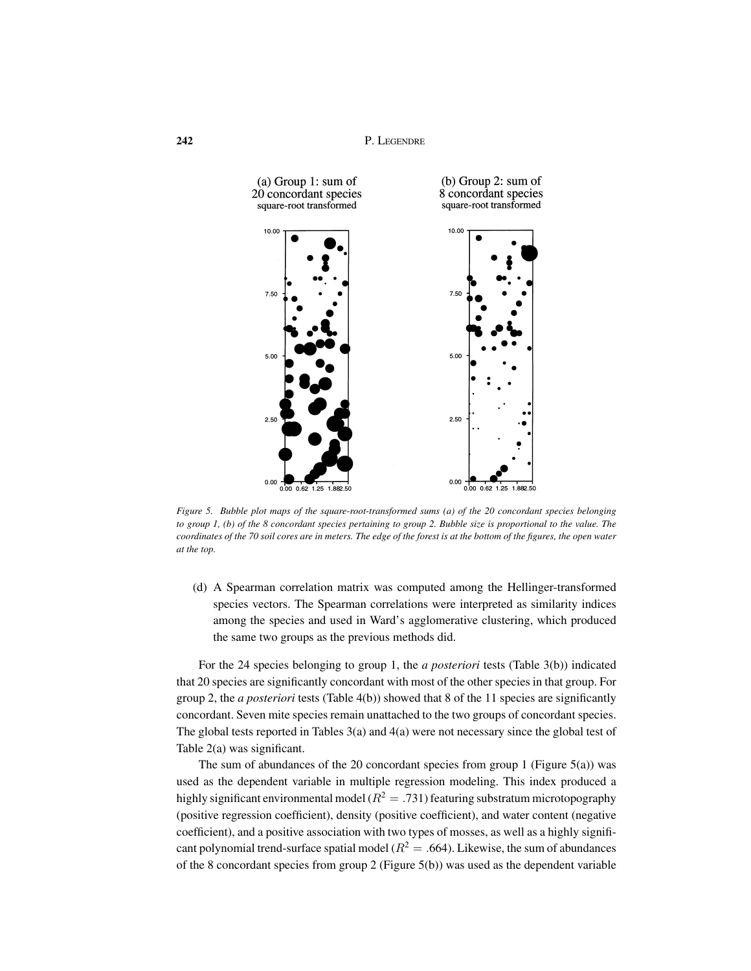**242** P. LEGENDRE



*Figure 5. Bubble plot maps of the square-root-transformed sums (a) of the 20 concordant species belonging to group 1, (b) of the 8 concordant species pertaining to group 2. Bubble size is proportional to the value. The coordinates of the 70 soil cores are in meters. The edge of the forest is at the bottom of the figures, the open water at the top.*

(d) A Spearman correlation matrix was computed among the Hellinger-transformed species vectors. The Spearman correlations were interpreted as similarity indices among the species and used in Ward's agglomerative clustering, which produced the same two groups as the previous methods did.

For the 24 species belonging to group 1, the *a posteriori* tests (Table 3(b)) indicated that 20 species are significantly concordant with most of the other species in that group. For group 2, the *a posteriori* tests (Table 4(b)) showed that 8 of the 11 species are significantly concordant. Seven mite species remain unattached to the two groups of concordant species. The global tests reported in Tables 3(a) and 4(a) were not necessary since the global test of Table 2(a) was significant.

The sum of abundances of the 20 concordant species from group 1 (Figure 5(a)) was used as the dependent variable in multiple regression modeling. This index produced a highly significant environmental model ( $R^2 = .731$ ) featuring substratum microtopography (positive regression coefficient), density (positive coefficient), and water content (negative coefficient), and a positive association with two types of mosses, as well as a highly significant polynomial trend-surface spatial model ( $R^2 = .664$ ). Likewise, the sum of abundances of the 8 concordant species from group 2 (Figure 5(b)) was used as the dependent variable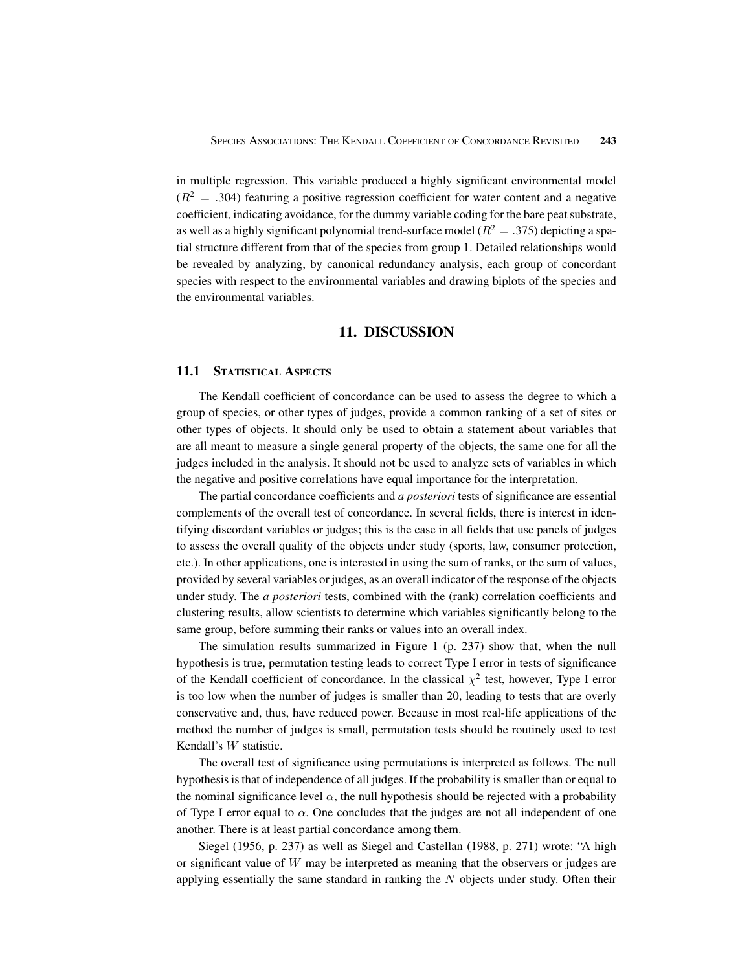in multiple regression. This variable produced a highly significant environmental model  $(R^{2} = .304)$  featuring a positive regression coefficient for water content and a negative coefficient, indicating avoidance, for the dummy variable coding for the bare peat substrate, as well as a highly significant polynomial trend-surface model ( $R^2 = .375$ ) depicting a spatial structure different from that of the species from group 1. Detailed relationships would be revealed by analyzing, by canonical redundancy analysis, each group of concordant species with respect to the environmental variables and drawing biplots of the species and the environmental variables.

# **11. DISCUSSION**

#### **11.1 STATISTICAL ASPECTS**

The Kendall coefficient of concordance can be used to assess the degree to which a group of species, or other types of judges, provide a common ranking of a set of sites or other types of objects. It should only be used to obtain a statement about variables that are all meant to measure a single general property of the objects, the same one for all the judges included in the analysis. It should not be used to analyze sets of variables in which the negative and positive correlations have equal importance for the interpretation.

The partial concordance coefficients and *a posteriori* tests of significance are essential complements of the overall test of concordance. In several fields, there is interest in identifying discordant variables or judges; this is the case in all fields that use panels of judges to assess the overall quality of the objects under study (sports, law, consumer protection, etc.). In other applications, one is interested in using the sum of ranks, or the sum of values, provided by several variables or judges, as an overall indicator of the response of the objects under study. The *a posteriori* tests, combined with the (rank) correlation coefficients and clustering results, allow scientists to determine which variables significantly belong to the same group, before summing their ranks or values into an overall index.

The simulation results summarized in Figure 1 (p. 237) show that, when the null hypothesis is true, permutation testing leads to correct Type I error in tests of significance of the Kendall coefficient of concordance. In the classical  $\chi^2$  test, however, Type I error is too low when the number of judges is smaller than 20, leading to tests that are overly conservative and, thus, have reduced power. Because in most real-life applications of the method the number of judges is small, permutation tests should be routinely used to test Kendall's W statistic.

The overall test of significance using permutations is interpreted as follows. The null hypothesis is that of independence of all judges. If the probability is smaller than or equal to the nominal significance level  $\alpha$ , the null hypothesis should be rejected with a probability of Type I error equal to  $\alpha$ . One concludes that the judges are not all independent of one another. There is at least partial concordance among them.

Siegel (1956, p. 237) as well as Siegel and Castellan (1988, p. 271) wrote: "A high or significant value of  $W$  may be interpreted as meaning that the observers or judges are applying essentially the same standard in ranking the  $N$  objects under study. Often their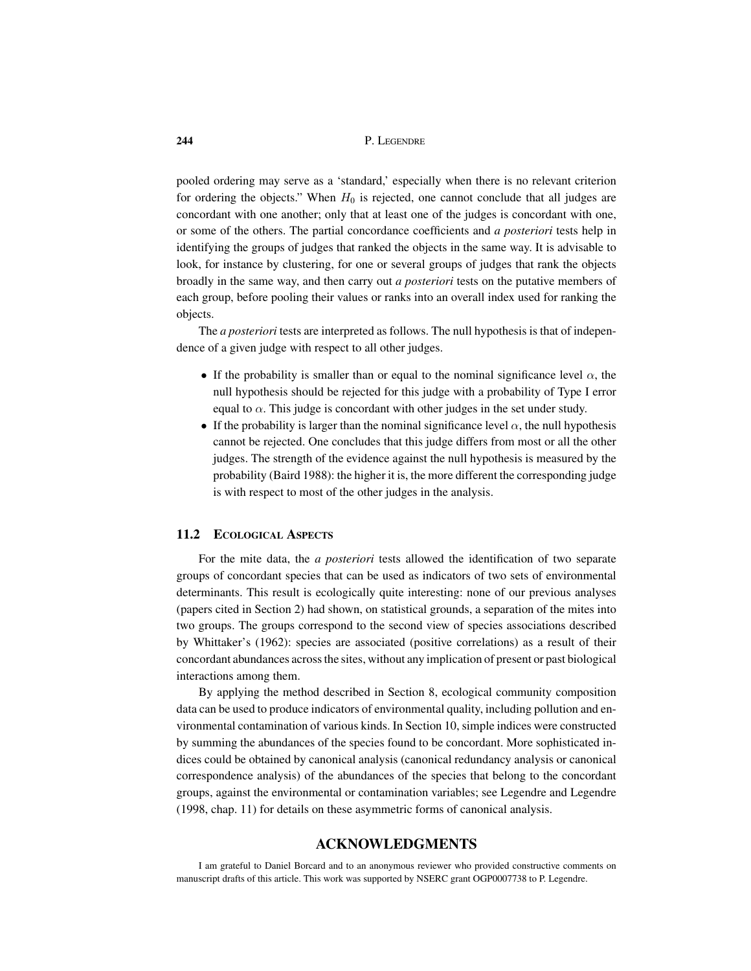pooled ordering may serve as a 'standard,' especially when there is no relevant criterion for ordering the objects." When  $H_0$  is rejected, one cannot conclude that all judges are concordant with one another; only that at least one of the judges is concordant with one, or some of the others. The partial concordance coefficients and *a posteriori* tests help in identifying the groups of judges that ranked the objects in the same way. It is advisable to look, for instance by clustering, for one or several groups of judges that rank the objects broadly in the same way, and then carry out *a posteriori* tests on the putative members of each group, before pooling their values or ranks into an overall index used for ranking the objects.

The *a posteriori* tests are interpreted as follows. The null hypothesis is that of independence of a given judge with respect to all other judges.

- If the probability is smaller than or equal to the nominal significance level  $\alpha$ , the null hypothesis should be rejected for this judge with a probability of Type I error equal to  $\alpha$ . This judge is concordant with other judges in the set under study.
- If the probability is larger than the nominal significance level  $\alpha$ , the null hypothesis cannot be rejected. One concludes that this judge differs from most or all the other judges. The strength of the evidence against the null hypothesis is measured by the probability (Baird 1988): the higher it is, the more different the corresponding judge is with respect to most of the other judges in the analysis.

#### **11.2 ECOLOGICAL ASPECTS**

For the mite data, the *a posteriori* tests allowed the identification of two separate groups of concordant species that can be used as indicators of two sets of environmental determinants. This result is ecologically quite interesting: none of our previous analyses (papers cited in Section 2) had shown, on statistical grounds, a separation of the mites into two groups. The groups correspond to the second view of species associations described by Whittaker's (1962): species are associated (positive correlations) as a result of their concordant abundances across the sites, without any implication of present or past biological interactions among them.

By applying the method described in Section 8, ecological community composition data can be used to produce indicators of environmental quality, including pollution and environmental contamination of various kinds. In Section 10, simple indices were constructed by summing the abundances of the species found to be concordant. More sophisticated indices could be obtained by canonical analysis (canonical redundancy analysis or canonical correspondence analysis) of the abundances of the species that belong to the concordant groups, against the environmental or contamination variables; see Legendre and Legendre (1998, chap. 11) for details on these asymmetric forms of canonical analysis.

## **ACKNOWLEDGMENTS**

I am grateful to Daniel Borcard and to an anonymous reviewer who provided constructive comments on manuscript drafts of this article. This work was supported by NSERC grant OGP0007738 to P. Legendre.